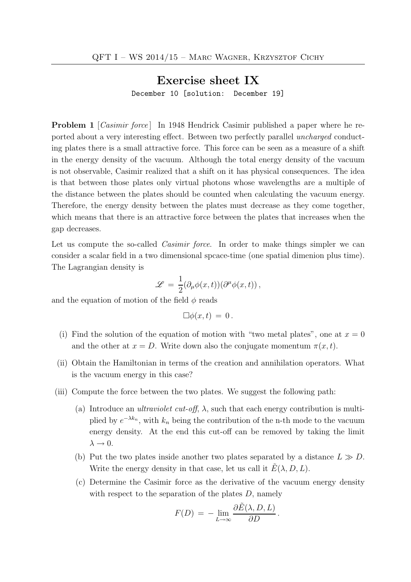## Exercise sheet IX

December 10 [solution: December 19]

**Problem 1** [*Casimir force*] In 1948 Hendrick Casimir published a paper where he reported about a very interesting effect. Between two perfectly parallel uncharged conducting plates there is a small attractive force. This force can be seen as a measure of a shift in the energy density of the vacuum. Although the total energy density of the vacuum is not observable, Casimir realized that a shift on it has physical consequences. The idea is that between those plates only virtual photons whose wavelengths are a multiple of the distance between the plates should be counted when calculating the vacuum energy. Therefore, the energy density between the plates must decrease as they come together, which means that there is an attractive force between the plates that increases when the gap decreases.

Let us compute the so-called *Casimir force*. In order to make things simpler we can consider a scalar field in a two dimensional spcace-time (one spatial dimenion plus time). The Lagrangian density is

$$
\mathscr{L} = \frac{1}{2} (\partial_{\mu} \phi(x,t)) (\partial^{\mu} \phi(x,t)),
$$

and the equation of motion of the field  $\phi$  reads

$$
\Box \phi(x,t) = 0.
$$

- (i) Find the solution of the equation of motion with "two metal plates", one at  $x = 0$ and the other at  $x = D$ . Write down also the conjugate momentum  $\pi(x, t)$ .
- (ii) Obtain the Hamiltonian in terms of the creation and annihilation operators. What is the vacuum energy in this case?
- (iii) Compute the force between the two plates. We suggest the following path:
	- (a) Introduce an *ultraviolet cut-off*,  $\lambda$ , such that each energy contribution is multiplied by  $e^{-\lambda k_n}$ , with  $k_n$  being the contribution of the n-th mode to the vacuum energy density. At the end this cut-off can be removed by taking the limit  $\lambda \rightarrow 0$ .
	- (b) Put the two plates inside another two plates separated by a distance  $L \gg D$ . Write the energy density in that case, let us call it  $E(\lambda, D, L)$ .
	- (c) Determine the Casimir force as the derivative of the vacuum energy density with respect to the separation of the plates  $D$ , namely

$$
F(D) = -\lim_{L \to \infty} \frac{\partial \tilde{E}(\lambda, D, L)}{\partial D}.
$$